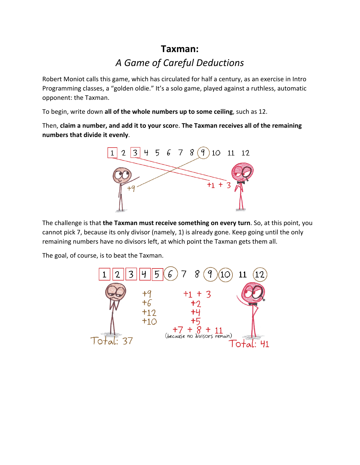## **Taxman:** *A Game of Careful Deductions*

Robert Moniot calls this game, which has circulated for half a century, as an exercise in Intro Programming classes, a "golden oldie." It's a solo game, played against a ruthless, automatic opponent: the Taxman.

To begin, write down **all of the whole numbers up to some ceiling**, such as 12.

Then, **claim a number, and add it to your scor**e. **The Taxman receives all of the remaining numbers that divide it evenly**.



The challenge is that **the Taxman must receive something on every turn**. So, at this point, you cannot pick 7, because its only divisor (namely, 1) is already gone. Keep going until the only remaining numbers have no divisors left, at which point the Taxman gets them all.

The goal, of course, is to beat the Taxman.